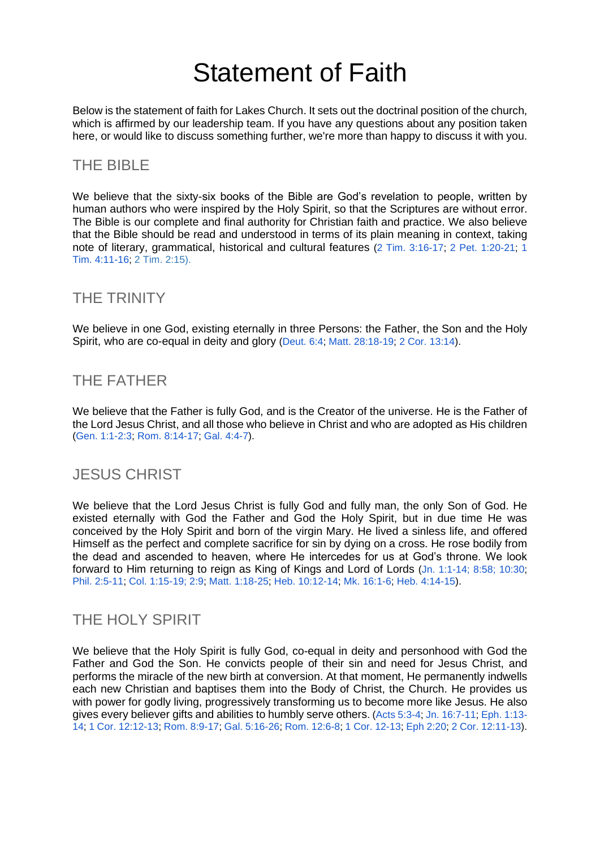# Statement of Faith

Below is the statement of faith for Lakes Church. It sets out the doctrinal position of the church, which is affirmed by our leadership team. If you have any questions about any position taken here, or would like to discuss something further, we're more than happy to discuss it with you.

## THE BIBLE

We believe that the sixty-six books of the Bible are God's revelation to people, written by human authors who were inspired by the Holy Spirit, so that the Scriptures are without error. The Bible is our complete and final authority for Christian faith and practice. We also believe that the Bible should be read and understood in terms of its plain meaning in context, taking note of literary, grammatical, historical and cultural features [\(2 Tim. 3:16-17; 2 Pet. 1:20-21; 1](about:blank)  [Tim. 4:11-16; 2 Tim. 2:15\)](about:blank).

#### THE TRINITY

We believe in one God, existing eternally in three Persons: the Father, the Son and the Holy Spirit, who are co-equal in deity and glory [\(Deut. 6:4; Matt. 28:18-19; 2 Cor. 13:14\)](about:blank).

## THE FATHER

We believe that the Father is fully God, and is the Creator of the universe. He is the Father of the Lord Jesus Christ, and all those who believe in Christ and who are adopted as His children [\(Gen. 1:1-2:3; Rom. 8:14-17; Gal. 4:4-7\)](about:blank).

### JESUS CHRIST

We believe that the Lord Jesus Christ is fully God and fully man, the only Son of God. He existed eternally with God the Father and God the Holy Spirit, but in due time He was conceived by the Holy Spirit and born of the virgin Mary. He lived a sinless life, and offered Himself as the perfect and complete sacrifice for sin by dying on a cross. He rose bodily from the dead and ascended to heaven, where He intercedes for us at God's throne. We look forward to Him returning to reign as King of Kings and Lord of Lords [\(Jn. 1:1-14; 8:58; 10:30;](about:blank) [Phil. 2:5-11; Col. 1:15-19; 2:9; Matt. 1:18-25; Heb. 10:12-14; Mk. 16:1-6; Heb. 4:14-15\)](about:blank).

### THE HOLY SPIRIT

We believe that the Holy Spirit is fully God, co-equal in deity and personhood with God the Father and God the Son. He convicts people of their sin and need for Jesus Christ, and performs the miracle of the new birth at conversion. At that moment, He permanently indwells each new Christian and baptises them into the Body of Christ, the Church. He provides us with power for godly living, progressively transforming us to become more like Jesus. He also gives every believer gifts and abilities to humbly serve others. [\(Acts 5:3-4; Jn. 16:7-11; Eph. 1:13-](about:blank) [14; 1 Cor. 12:12-13; Rom. 8:9-17; Gal. 5:16-26; Rom. 12:6-8; 1 Cor. 12-13; Eph 2:20; 2 Cor. 12:11-13\)](about:blank).